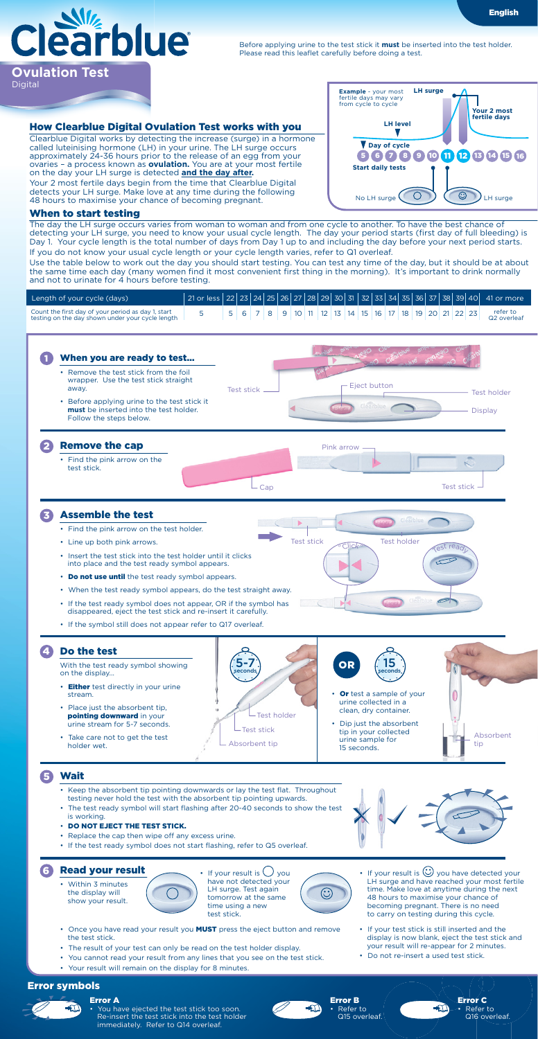

Before applying urine to the test stick it **must** be inserted into the test holder. Please read this leaflet carefully before doing a test.

## How Clearblue Digital Ovulation Test works with you

Clearblue Digital works by detecting the increase (surge) in a hormone called luteinising hormone (LH) in your urine. The LH surge occurs approximately 24-36 hours prior to the release of an egg from your ovaries – a process known as **ovulation.** You are at your most fertile on the day your LH surge is detected **and the day after.** Your 2 most fertile days begin from the time that Clearblue Digital detects your LH surge. Make love at any time during the following 48 hours to maximise your chance of becoming pregnant.

| <b>Example</b> - your most<br>fertile days may vary<br>from cycle to cycle | <b>LH</b> surge | Your 2 most              |
|----------------------------------------------------------------------------|-----------------|--------------------------|
| <b>LH level</b>                                                            |                 | fertile davs             |
| Day of cycle                                                               |                 |                          |
| 6 I 7                                                                      |                 | 8 9 10 11 12 13 14 15 16 |
| <b>Start daily tests</b>                                                   |                 |                          |
| No LH surge                                                                |                 | H surge                  |

English

## When to start testing

The day the LH surge occurs varies from woman to woman and from one cycle to another. To have the best chance of detecting your LH surge, you need to know your usual cycle length. The day your period starts (first day of full bleeding) is Day 1. Your cycle length is the total number of days from Day 1 up to and including the day before your next period starts. If you do not know your usual cycle length or your cycle length varies, refer to Q1 overleaf.

Use the table below to work out the day you should start testing. You can test any time of the day, but it should be at about the same time each day (many women find it most convenient first thing in the morning). It's important to drink normally and not to urinate for 4 hours before testing.